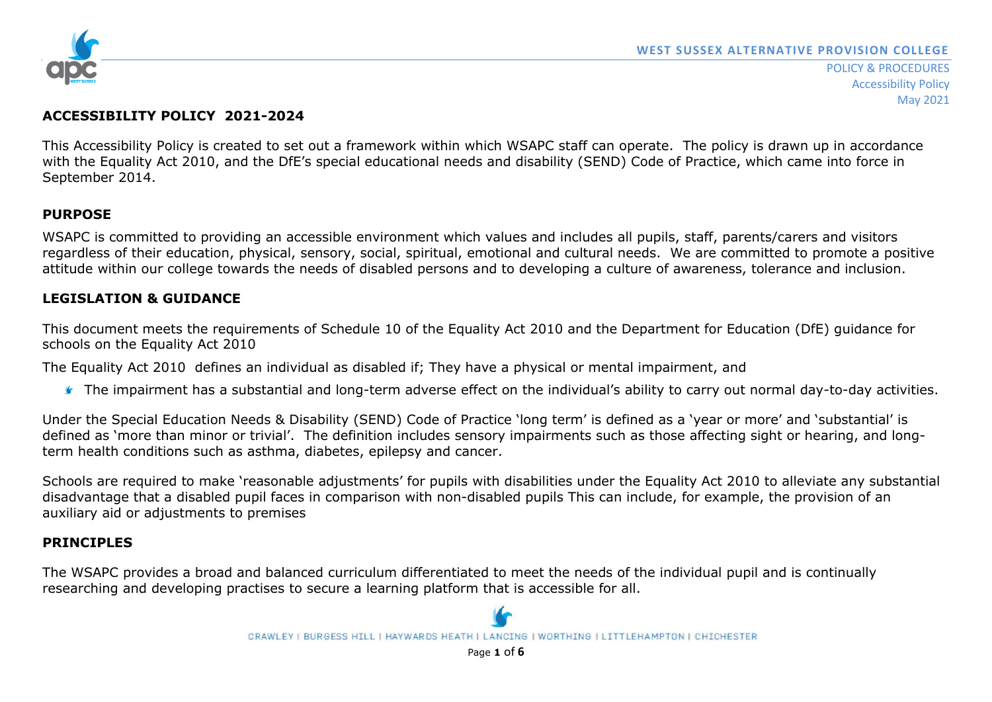

## **ACCESSIBILITY POLICY 2021-2024**

This Accessibility Policy is created to set out a framework within which WSAPC staff can operate. The policy is drawn up in accordance with the Equality Act 2010, and the DfE's special educational needs and disability (SEND) Code of Practice, which came into force in September 2014.

## **PURPOSE**

WSAPC is committed to providing an accessible environment which values and includes all pupils, staff, parents/carers and visitors regardless of their education, physical, sensory, social, spiritual, emotional and cultural needs. We are committed to promote a positive attitude within our college towards the needs of disabled persons and to developing a culture of awareness, tolerance and inclusion.

## **LEGISLATION & GUIDANCE**

This document meets the requirements of Schedule 10 of the Equality Act 2010 and the Department for Education (DfE) guidance for schools on the Equality Act 2010

The Equality Act 2010 defines an individual as disabled if; They have a physical or mental impairment, and

The impairment has a substantial and long-term adverse effect on the individual's ability to carry out normal day-to-day activities.

Under the Special Education Needs & Disability (SEND) Code of Practice 'long term' is defined as a 'year or more' and 'substantial' is defined as 'more than minor or trivial'. The definition includes sensory impairments such as those affecting sight or hearing, and longterm health conditions such as asthma, diabetes, epilepsy and cancer.

Schools are required to make 'reasonable adjustments' for pupils with disabilities under the Equality Act 2010 to alleviate any substantial disadvantage that a disabled pupil faces in comparison with non-disabled pupils This can include, for example, the provision of an auxiliary aid or adjustments to premises

## **PRINCIPLES**

The WSAPC provides a broad and balanced curriculum differentiated to meet the needs of the individual pupil and is continually researching and developing practises to secure a learning platform that is accessible for all.



CRAWLEY I BURGESS HILL I HAYWARDS HEATH I LANCING I WORTHING I LITTLEHAMPTON I CHICHESTER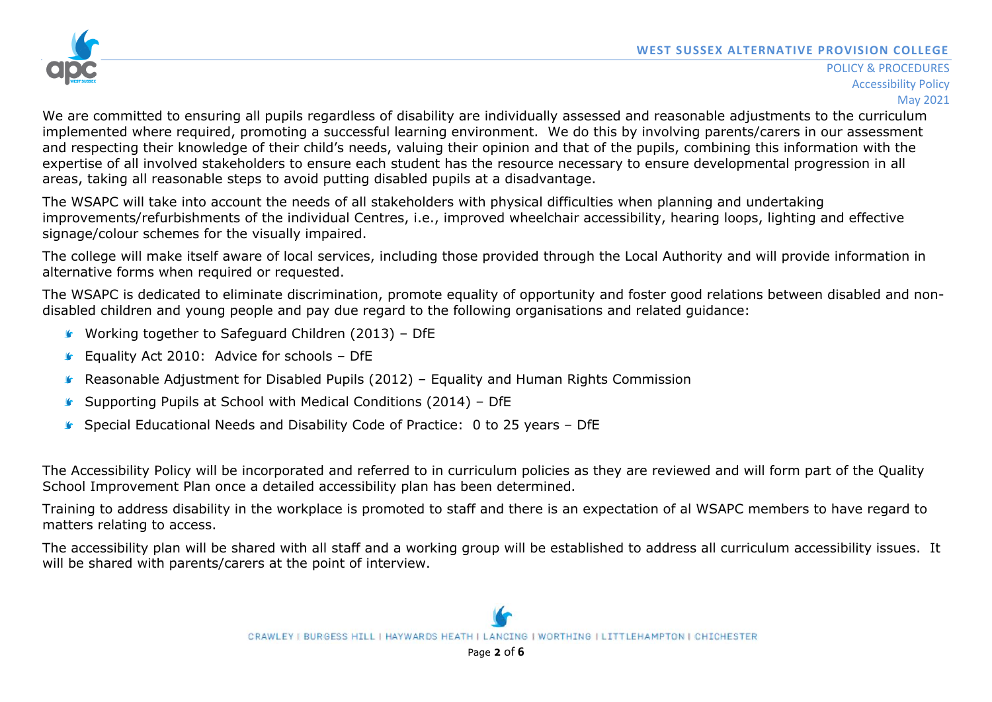

We are committed to ensuring all pupils regardless of disability are individually assessed and reasonable adjustments to the curriculum implemented where required, promoting a successful learning environment. We do this by involving parents/carers in our assessment and respecting their knowledge of their child's needs, valuing their opinion and that of the pupils, combining this information with the expertise of all involved stakeholders to ensure each student has the resource necessary to ensure developmental progression in all areas, taking all reasonable steps to avoid putting disabled pupils at a disadvantage.

The WSAPC will take into account the needs of all stakeholders with physical difficulties when planning and undertaking improvements/refurbishments of the individual Centres, i.e., improved wheelchair accessibility, hearing loops, lighting and effective signage/colour schemes for the visually impaired.

The college will make itself aware of local services, including those provided through the Local Authority and will provide information in alternative forms when required or requested.

The WSAPC is dedicated to eliminate discrimination, promote equality of opportunity and foster good relations between disabled and nondisabled children and young people and pay due regard to the following organisations and related guidance:

- Working together to Safeguard Children (2013) DfE
- **Equality Act 2010: Advice for schools DfE**
- Reasonable Adjustment for Disabled Pupils (2012) Equality and Human Rights Commission
- Supporting Pupils at School with Medical Conditions (2014) DfE
- Special Educational Needs and Disability Code of Practice: 0 to 25 years DfE

The Accessibility Policy will be incorporated and referred to in curriculum policies as they are reviewed and will form part of the Quality School Improvement Plan once a detailed accessibility plan has been determined.

Training to address disability in the workplace is promoted to staff and there is an expectation of al WSAPC members to have regard to matters relating to access.

The accessibility plan will be shared with all staff and a working group will be established to address all curriculum accessibility issues. It will be shared with parents/carers at the point of interview.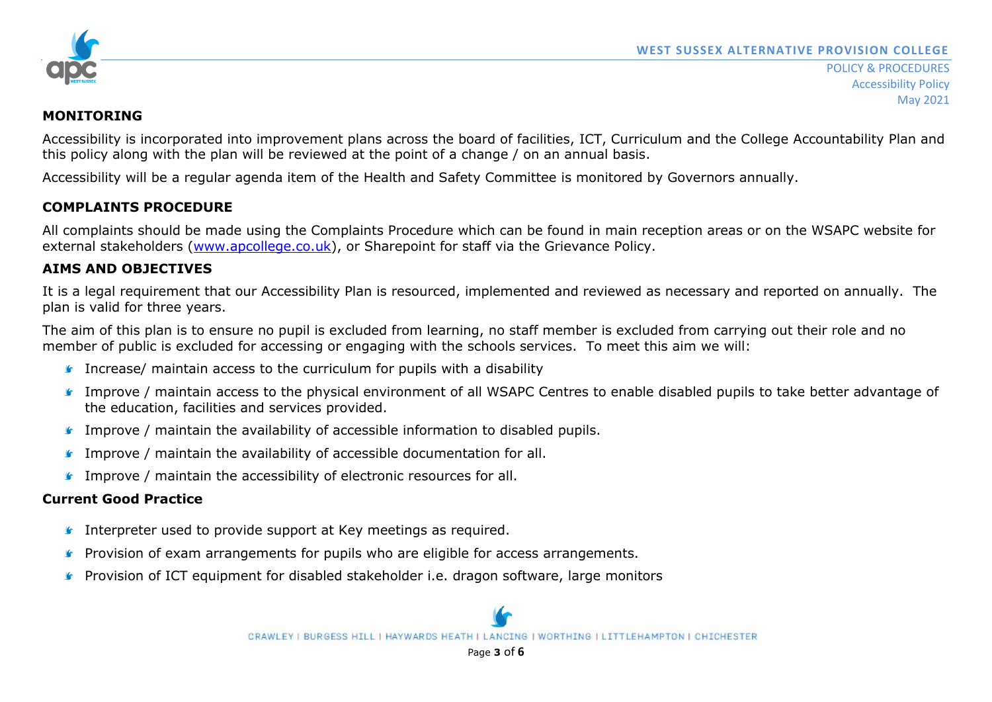

## **MONITORING**

Accessibility is incorporated into improvement plans across the board of facilities, ICT, Curriculum and the College Accountability Plan and this policy along with the plan will be reviewed at the point of a change / on an annual basis.

Accessibility will be a regular agenda item of the Health and Safety Committee is monitored by Governors annually.

# **COMPLAINTS PROCEDURE**

All complaints should be made using the Complaints Procedure which can be found in main reception areas or on the WSAPC website for external stakeholders [\(www.apcollege.co.uk\)](http://www.apcollege.co.uk/), or Sharepoint for staff via the Grievance Policy.

# **AIMS AND OBJECTIVES**

It is a legal requirement that our Accessibility Plan is resourced, implemented and reviewed as necessary and reported on annually. The plan is valid for three years.

The aim of this plan is to ensure no pupil is excluded from learning, no staff member is excluded from carrying out their role and no member of public is excluded for accessing or engaging with the schools services. To meet this aim we will:

- **Increase/ maintain access to the curriculum for pupils with a disability**
- Improve / maintain access to the physical environment of all WSAPC Centres to enable disabled pupils to take better advantage of the education, facilities and services provided.
- **Improve / maintain the availability of accessible information to disabled pupils.**
- **IMPROVE** / maintain the availability of accessible documentation for all.
- **Improve / maintain the accessibility of electronic resources for all.**

# **Current Good Practice**

- **I** Interpreter used to provide support at Key meetings as required.
- **Provision of exam arrangements for pupils who are eligible for access arrangements.**
- **Provision of ICT equipment for disabled stakeholder i.e. dragon software, large monitors**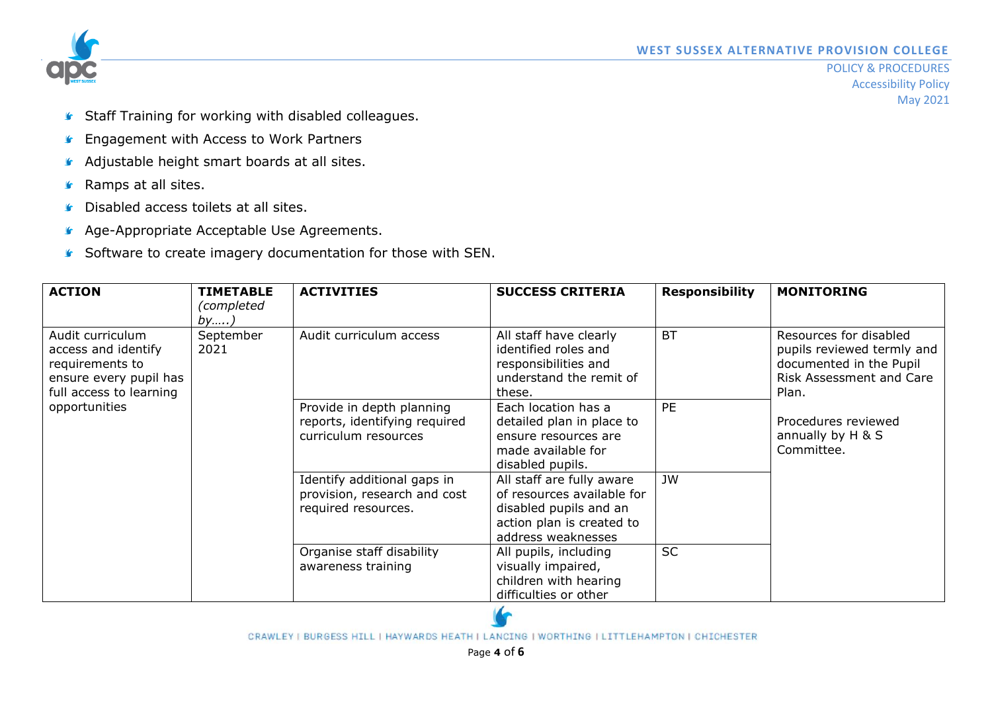

- **Staff Training for working with disabled colleagues.**
- **F** Engagement with Access to Work Partners
- Adjustable height smart boards at all sites.
- **G** Ramps at all sites.
- **Disabled access toilets at all sites.**
- **Age-Appropriate Acceptable Use Agreements.**
- Software to create imagery documentation for those with SEN.

| <b>ACTION</b>                                                                                                                    | <b>TIMETABLE</b><br>(completed<br>by) | <b>ACTIVITIES</b>                                                                  | <b>SUCCESS CRITERIA</b>                                                                                                              | <b>Responsibility</b> | <b>MONITORING</b>                                                                                                                                                                     |
|----------------------------------------------------------------------------------------------------------------------------------|---------------------------------------|------------------------------------------------------------------------------------|--------------------------------------------------------------------------------------------------------------------------------------|-----------------------|---------------------------------------------------------------------------------------------------------------------------------------------------------------------------------------|
| Audit curriculum<br>access and identify<br>requirements to<br>ensure every pupil has<br>full access to learning<br>opportunities | September<br>2021                     | Audit curriculum access                                                            | All staff have clearly<br>identified roles and<br>responsibilities and<br>understand the remit of<br>these.                          | <b>BT</b>             | Resources for disabled<br>pupils reviewed termly and<br>documented in the Pupil<br><b>Risk Assessment and Care</b><br>Plan.<br>Procedures reviewed<br>annually by H & S<br>Committee. |
|                                                                                                                                  |                                       | Provide in depth planning<br>reports, identifying required<br>curriculum resources | Each location has a<br>detailed plan in place to<br>ensure resources are<br>made available for<br>disabled pupils.                   | <b>PE</b>             |                                                                                                                                                                                       |
|                                                                                                                                  |                                       | Identify additional gaps in<br>provision, research and cost<br>required resources. | All staff are fully aware<br>of resources available for<br>disabled pupils and an<br>action plan is created to<br>address weaknesses | <b>JW</b>             |                                                                                                                                                                                       |
|                                                                                                                                  |                                       | Organise staff disability<br>awareness training                                    | All pupils, including<br>visually impaired,<br>children with hearing<br>difficulties or other                                        | <b>SC</b>             |                                                                                                                                                                                       |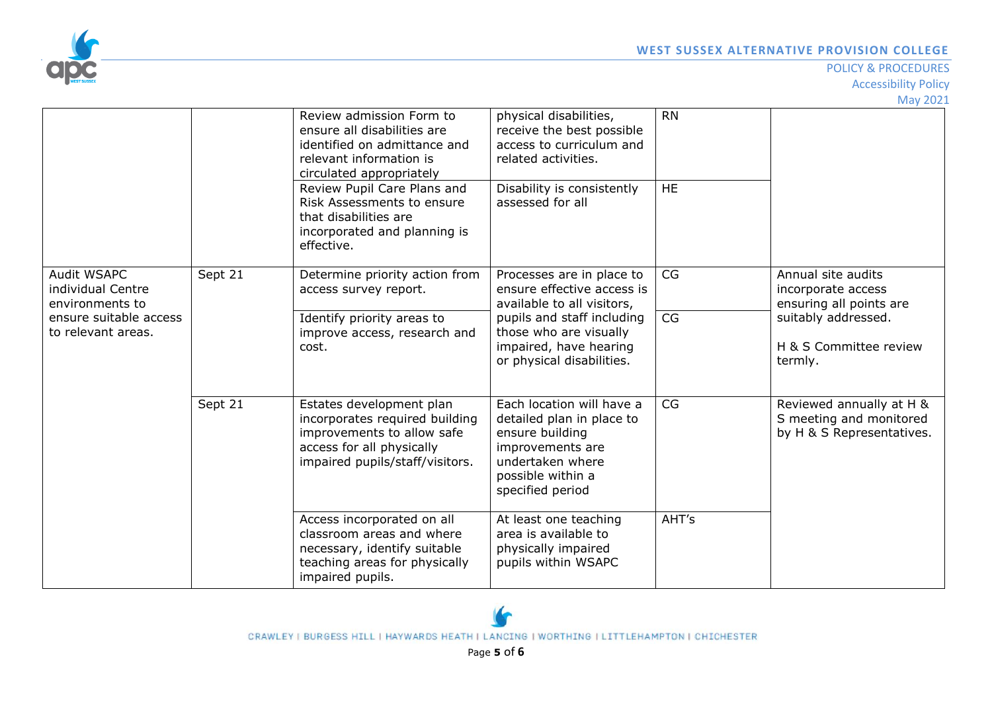

#### POLICY & PROCEDURES

Accessibility Policy

May 2021

|                                                                                                     |         | Review admission Form to<br>ensure all disabilities are<br>identified on admittance and<br>relevant information is<br>circulated appropriately<br>Review Pupil Care Plans and<br>Risk Assessments to ensure<br>that disabilities are<br>incorporated and planning is<br>effective. | physical disabilities,<br>receive the best possible<br>access to curriculum and<br>related activities.<br>Disability is consistently<br>assessed for all                                             | <b>RN</b><br><b>HE</b> |                                                                                                                                 |
|-----------------------------------------------------------------------------------------------------|---------|------------------------------------------------------------------------------------------------------------------------------------------------------------------------------------------------------------------------------------------------------------------------------------|------------------------------------------------------------------------------------------------------------------------------------------------------------------------------------------------------|------------------------|---------------------------------------------------------------------------------------------------------------------------------|
| Audit WSAPC<br>individual Centre<br>environments to<br>ensure suitable access<br>to relevant areas. | Sept 21 | Determine priority action from<br>access survey report.<br>Identify priority areas to<br>improve access, research and<br>cost.                                                                                                                                                     | Processes are in place to<br>ensure effective access is<br>available to all visitors,<br>pupils and staff including<br>those who are visually<br>impaired, have hearing<br>or physical disabilities. | CG<br>CG               | Annual site audits<br>incorporate access<br>ensuring all points are<br>suitably addressed.<br>H & S Committee review<br>termly. |
|                                                                                                     | Sept 21 | Estates development plan<br>incorporates required building<br>improvements to allow safe<br>access for all physically<br>impaired pupils/staff/visitors.                                                                                                                           | Each location will have a<br>detailed plan in place to<br>ensure building<br>improvements are<br>undertaken where<br>possible within a<br>specified period                                           | CG                     | Reviewed annually at H &<br>S meeting and monitored<br>by H & S Representatives.                                                |
|                                                                                                     |         | Access incorporated on all<br>classroom areas and where<br>necessary, identify suitable<br>teaching areas for physically<br>impaired pupils.                                                                                                                                       | At least one teaching<br>area is available to<br>physically impaired<br>pupils within WSAPC                                                                                                          | AHT's                  |                                                                                                                                 |